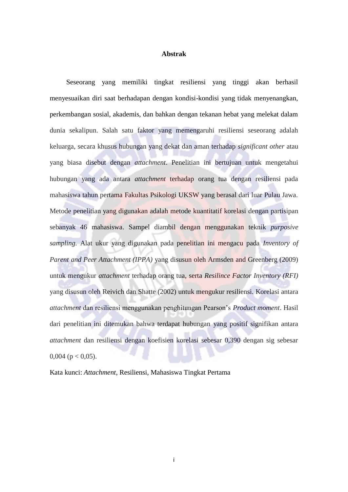## **Abstrak**

Seseorang yang memiliki tingkat resiliensi yang tinggi akan berhasil menyesuaikan diri saat berhadapan dengan kondisi-kondisi yang tidak menyenangkan, perkembangan sosial, akademis, dan bahkan dengan tekanan hebat yang melekat dalam dunia sekalipun. Salah satu faktor yang memengaruhi resiliensi seseorang adalah keluarga, secara khusus hubungan yang dekat dan aman terhadap *significant other* atau yang biasa disebut dengan *attachment*. Penelitian ini bertujuan untuk mengetahui hubungan yang ada antara *attachment* terhadap orang tua dengan resiliensi pada mahasiswa tahun pertama Fakultas Psikologi UKSW yang berasal dari luar Pulau Jawa. Metode penelitian yang digunakan adalah metode kuantitatif korelasi dengan partisipan sebanyak 46 mahasiswa. Sampel diambil dengan menggunakan teknik *purposive sampling.* Alat ukur yang digunakan pada penelitian ini mengacu pada *Inventory of Parent and Peer Attachment (IPPA)* yang disusun oleh Armsden and Greenberg (2009) untuk mengukur *attachment* terhadap orang tua, serta *Resilince Factor Inventory (RFI)*  yang disusun oleh Reivich dan Shatte (2002) untuk mengukur resiliensi*.* Korelasi antara *attachment* dan resiliensi menggunakan penghitungan Pearson's *Product moment*. Hasil dari penelitian ini ditemukan bahwa terdapat hubungan yang positif signifikan antara *attachment* dan resiliensi dengan koefisien korelasi sebesar 0,390 dengan sig sebesar  $0.004$  (p < 0.05).

Kata kunci: *Attachment*, Resiliensi, Mahasiswa Tingkat Pertama